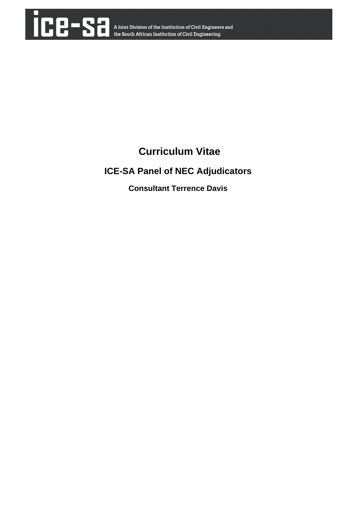

# **Curriculum Vitae**

## **ICE-SA Panel of NEC Adjudicators**

**Consultant Terrence Davis**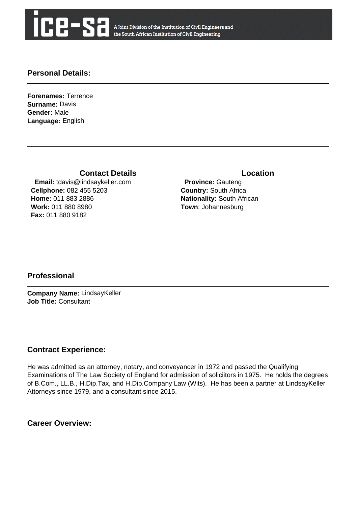

A Joint Division of the Institution of Civil Engineers and the South African Institution of Civil Engineering

#### **Personal Details:**

**Forenames:** Terrence **Surname:** Davis **Gender:** Male **Language:** English

**Contact Details Contact Details** 

 **Email:** tdavis@lindsaykeller.com **Cellphone:** 082 455 5203 **Home:** 011 883 2886 **Work:** 011 880 8980 **Fax:** 011 880 9182

 **Province:** Gauteng **Country:** South Africa **Nationality:** South African **Town**: Johannesburg

### **Professional**

**Company Name:** LindsayKeller **Job Title:** Consultant

#### **Contract Experience:**

He was admitted as an attorney, notary, and conveyancer in 1972 and passed the Qualifying Examinations of The Law Society of England for admission of soliciitors in 1975. He holds the degrees of B.Com., LL.B., H.Dip.Tax, and H.Dip.Company Law (Wits). He has been a partner at LindsayKeller Attorneys since 1979, and a consultant since 2015.

**Career Overview:**